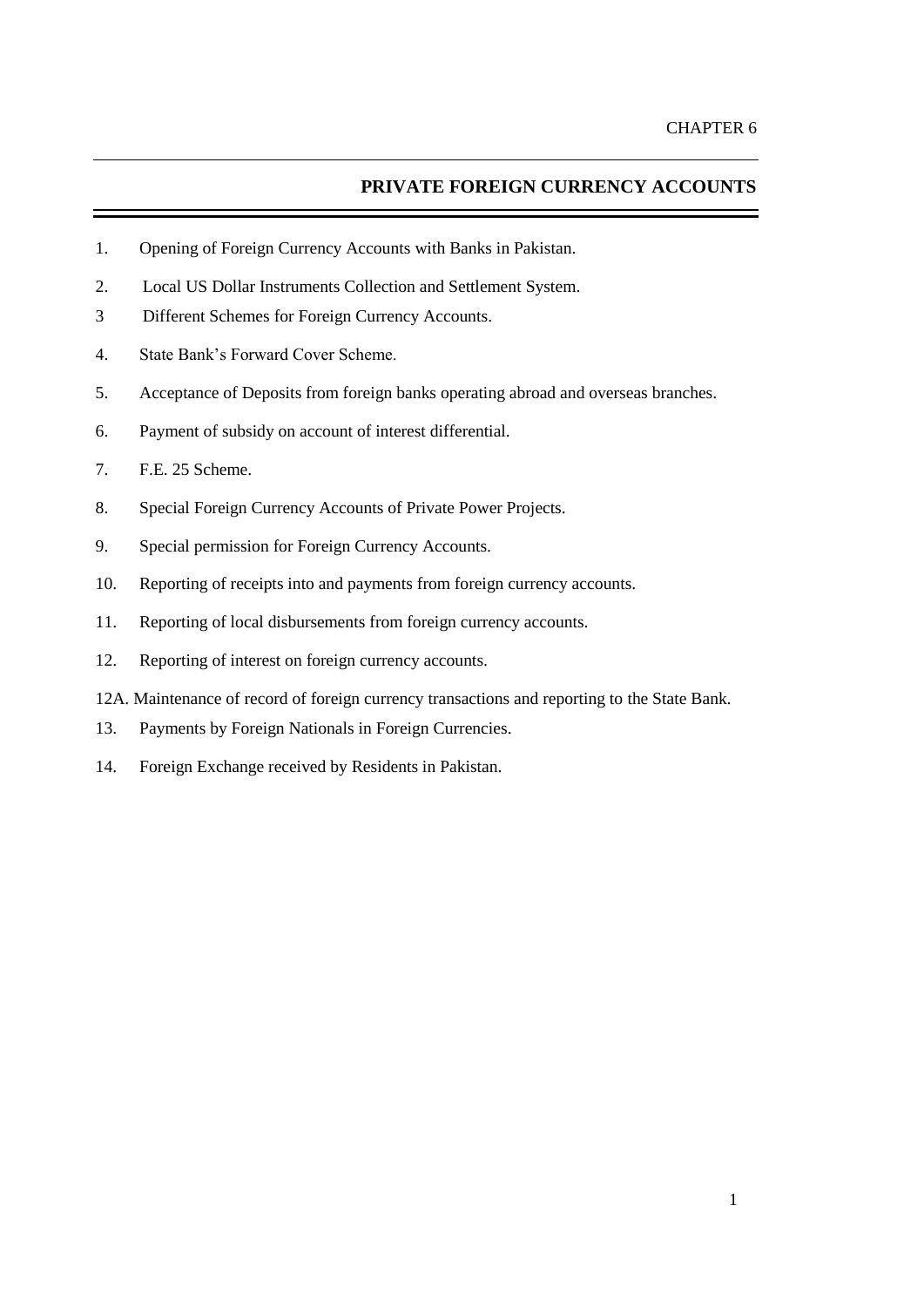# **PRIVATE FOREIGN CURRENCY ACCOUNTS**

- 1. Opening of Foreign Currency Accounts with Banks in Pakistan.
- 2. Local US Dollar Instruments Collection and Settlement System.
- 3 Different Schemes for Foreign Currency Accounts.
- 4. State Bank's Forward Cover Scheme.
- 5. Acceptance of Deposits from foreign banks operating abroad and overseas branches.
- 6. Payment of subsidy on account of interest differential.
- 7. F.E. 25 Scheme.
- 8. Special Foreign Currency Accounts of Private Power Projects.
- 9. Special permission for Foreign Currency Accounts.
- 10. Reporting of receipts into and payments from foreign currency accounts.
- 11. Reporting of local disbursements from foreign currency accounts.
- 12. Reporting of interest on foreign currency accounts.
- 12A. Maintenance of record of foreign currency transactions and reporting to the State Bank.
- 13. Payments by Foreign Nationals in Foreign Currencies.
- 14. Foreign Exchange received by Residents in Pakistan.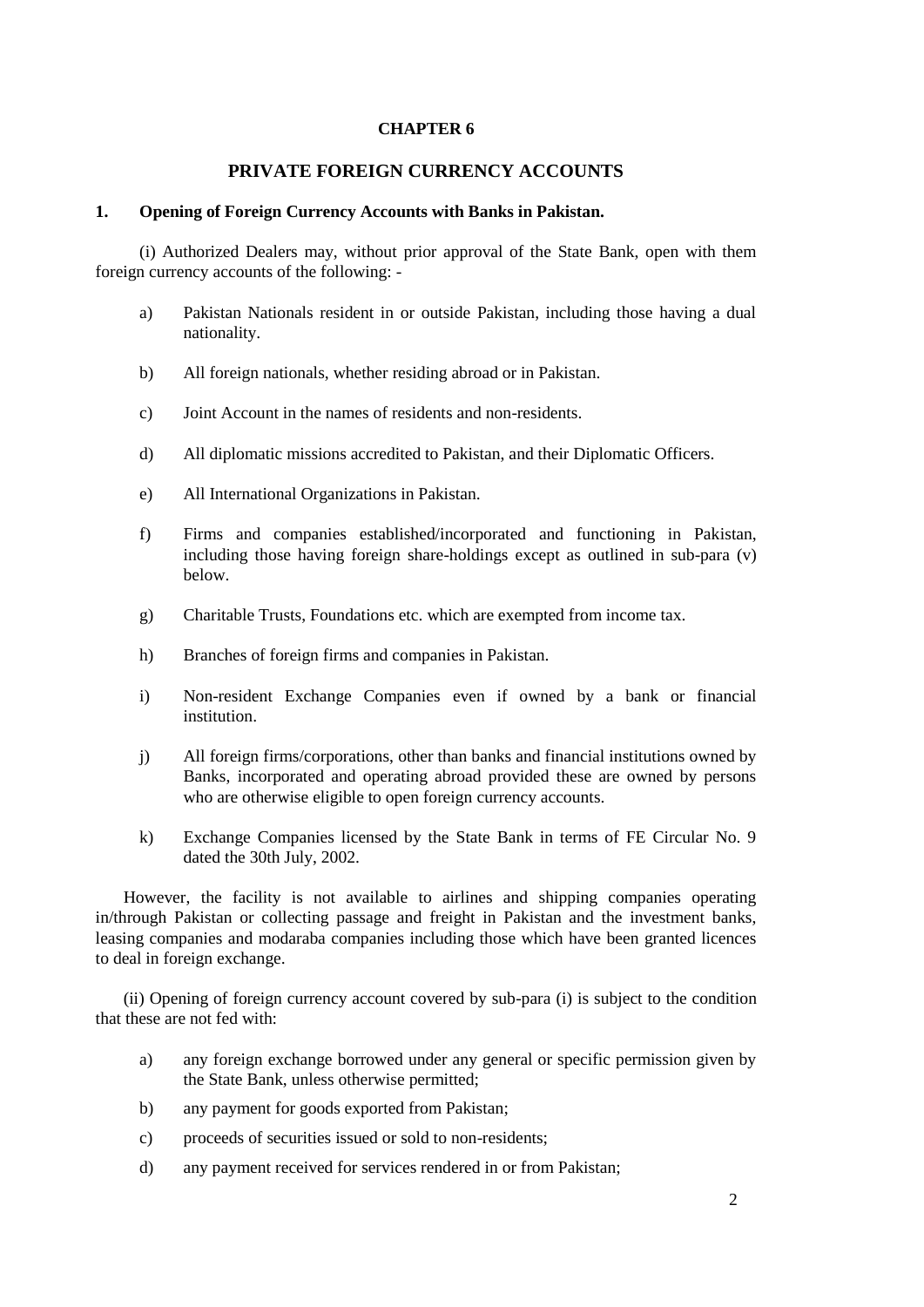# **CHAPTER 6**

# **PRIVATE FOREIGN CURRENCY ACCOUNTS**

### **1. Opening of Foreign Currency Accounts with Banks in Pakistan.**

(i) Authorized Dealers may, without prior approval of the State Bank, open with them foreign currency accounts of the following: -

- a) Pakistan Nationals resident in or outside Pakistan, including those having a dual nationality.
- b) All foreign nationals, whether residing abroad or in Pakistan.
- c) Joint Account in the names of residents and non-residents.
- d) All diplomatic missions accredited to Pakistan, and their Diplomatic Officers.
- e) All International Organizations in Pakistan.
- f) Firms and companies established/incorporated and functioning in Pakistan, including those having foreign share-holdings except as outlined in sub-para (v) below.
- g) Charitable Trusts, Foundations etc. which are exempted from income tax.
- h) Branches of foreign firms and companies in Pakistan.
- i) Non-resident Exchange Companies even if owned by a bank or financial institution.
- j) All foreign firms/corporations, other than banks and financial institutions owned by Banks, incorporated and operating abroad provided these are owned by persons who are otherwise eligible to open foreign currency accounts.
- k) Exchange Companies licensed by the State Bank in terms of FE Circular No. 9 dated the 30th July, 2002.

However, the facility is not available to airlines and shipping companies operating in/through Pakistan or collecting passage and freight in Pakistan and the investment banks, leasing companies and modaraba companies including those which have been granted licences to deal in foreign exchange.

(ii) Opening of foreign currency account covered by sub-para (i) is subject to the condition that these are not fed with:

- a) any foreign exchange borrowed under any general or specific permission given by the State Bank, unless otherwise permitted;
- b) any payment for goods exported from Pakistan;
- c) proceeds of securities issued or sold to non-residents;
- d) any payment received for services rendered in or from Pakistan;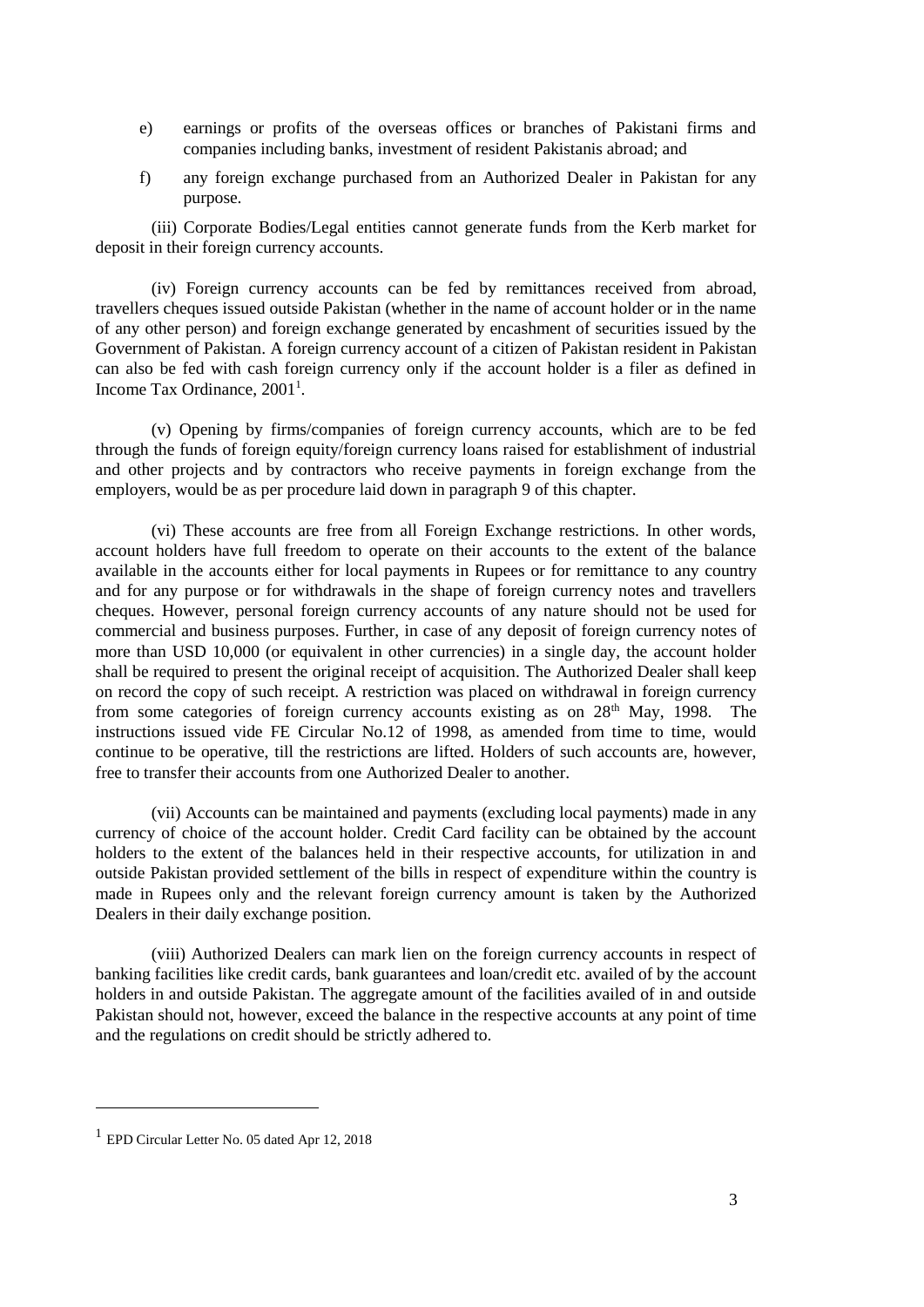- e) earnings or profits of the overseas offices or branches of Pakistani firms and companies including banks, investment of resident Pakistanis abroad; and
- f) any foreign exchange purchased from an Authorized Dealer in Pakistan for any purpose.

(iii) Corporate Bodies/Legal entities cannot generate funds from the Kerb market for deposit in their foreign currency accounts.

(iv) Foreign currency accounts can be fed by remittances received from abroad, travellers cheques issued outside Pakistan (whether in the name of account holder or in the name of any other person) and foreign exchange generated by encashment of securities issued by the Government of Pakistan. A foreign currency account of a citizen of Pakistan resident in Pakistan can also be fed with cash foreign currency only if the account holder is a filer as defined in Income Tax Ordinance, 2001<sup>1</sup>.

(v) Opening by firms/companies of foreign currency accounts, which are to be fed through the funds of foreign equity/foreign currency loans raised for establishment of industrial and other projects and by contractors who receive payments in foreign exchange from the employers, would be as per procedure laid down in paragraph 9 of this chapter.

(vi) These accounts are free from all Foreign Exchange restrictions. In other words, account holders have full freedom to operate on their accounts to the extent of the balance available in the accounts either for local payments in Rupees or for remittance to any country and for any purpose or for withdrawals in the shape of foreign currency notes and travellers cheques. However, personal foreign currency accounts of any nature should not be used for commercial and business purposes. Further, in case of any deposit of foreign currency notes of more than USD 10,000 (or equivalent in other currencies) in a single day, the account holder shall be required to present the original receipt of acquisition. The Authorized Dealer shall keep on record the copy of such receipt. A restriction was placed on withdrawal in foreign currency from some categories of foreign currency accounts existing as on  $28<sup>th</sup>$  May, 1998. The instructions issued vide FE Circular No.12 of 1998, as amended from time to time, would continue to be operative, till the restrictions are lifted. Holders of such accounts are, however, free to transfer their accounts from one Authorized Dealer to another.

(vii) Accounts can be maintained and payments (excluding local payments) made in any currency of choice of the account holder. Credit Card facility can be obtained by the account holders to the extent of the balances held in their respective accounts, for utilization in and outside Pakistan provided settlement of the bills in respect of expenditure within the country is made in Rupees only and the relevant foreign currency amount is taken by the Authorized Dealers in their daily exchange position.

(viii) Authorized Dealers can mark lien on the foreign currency accounts in respect of banking facilities like credit cards, bank guarantees and loan/credit etc. availed of by the account holders in and outside Pakistan. The aggregate amount of the facilities availed of in and outside Pakistan should not, however, exceed the balance in the respective accounts at any point of time and the regulations on credit should be strictly adhered to.

<sup>&</sup>lt;sup>1</sup> EPD Circular Letter No. 05 dated Apr 12, 2018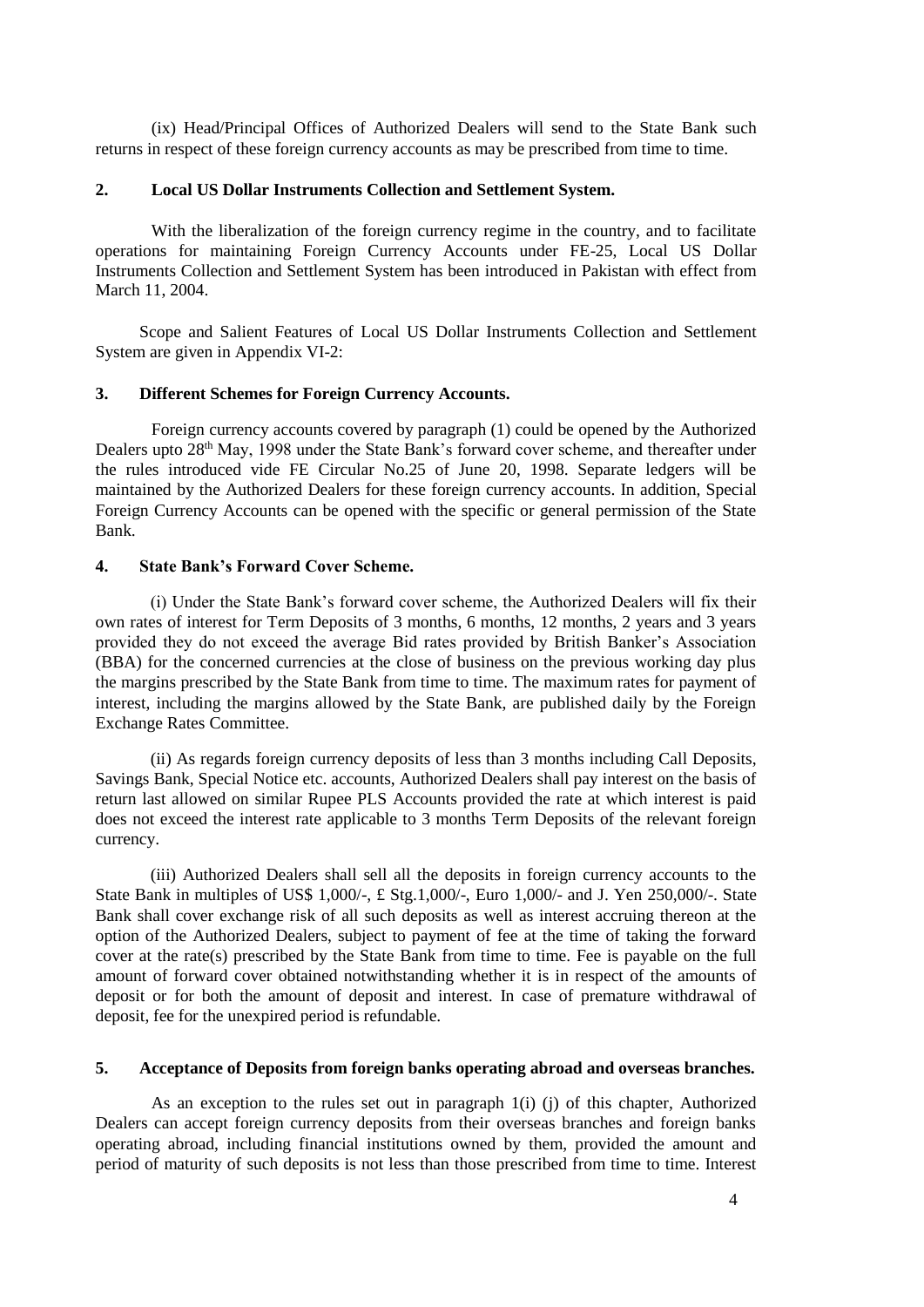(ix) Head/Principal Offices of Authorized Dealers will send to the State Bank such returns in respect of these foreign currency accounts as may be prescribed from time to time.

### **2. Local US Dollar Instruments Collection and Settlement System.**

With the liberalization of the foreign currency regime in the country, and to facilitate operations for maintaining Foreign Currency Accounts under FE-25, Local US Dollar Instruments Collection and Settlement System has been introduced in Pakistan with effect from March 11, 2004.

Scope and Salient Features of Local US Dollar Instruments Collection and Settlement System are given in Appendix VI-2:

#### **3. Different Schemes for Foreign Currency Accounts.**

Foreign currency accounts covered by paragraph (1) could be opened by the Authorized Dealers upto 28<sup>th</sup> May, 1998 under the State Bank's forward cover scheme, and thereafter under the rules introduced vide FE Circular No.25 of June 20, 1998. Separate ledgers will be maintained by the Authorized Dealers for these foreign currency accounts. In addition, Special Foreign Currency Accounts can be opened with the specific or general permission of the State Bank.

### **4. State Bank's Forward Cover Scheme.**

(i) Under the State Bank's forward cover scheme, the Authorized Dealers will fix their own rates of interest for Term Deposits of 3 months, 6 months, 12 months, 2 years and 3 years provided they do not exceed the average Bid rates provided by British Banker's Association (BBA) for the concerned currencies at the close of business on the previous working day plus the margins prescribed by the State Bank from time to time. The maximum rates for payment of interest, including the margins allowed by the State Bank, are published daily by the Foreign Exchange Rates Committee.

(ii) As regards foreign currency deposits of less than 3 months including Call Deposits, Savings Bank, Special Notice etc. accounts, Authorized Dealers shall pay interest on the basis of return last allowed on similar Rupee PLS Accounts provided the rate at which interest is paid does not exceed the interest rate applicable to 3 months Term Deposits of the relevant foreign currency.

(iii) Authorized Dealers shall sell all the deposits in foreign currency accounts to the State Bank in multiples of US\$ 1,000/-, £ Stg.1,000/-, Euro 1,000/- and J. Yen 250,000/-. State Bank shall cover exchange risk of all such deposits as well as interest accruing thereon at the option of the Authorized Dealers, subject to payment of fee at the time of taking the forward cover at the rate(s) prescribed by the State Bank from time to time. Fee is payable on the full amount of forward cover obtained notwithstanding whether it is in respect of the amounts of deposit or for both the amount of deposit and interest. In case of premature withdrawal of deposit, fee for the unexpired period is refundable.

### **5. Acceptance of Deposits from foreign banks operating abroad and overseas branches.**

As an exception to the rules set out in paragraph 1(i) (j) of this chapter, Authorized Dealers can accept foreign currency deposits from their overseas branches and foreign banks operating abroad, including financial institutions owned by them, provided the amount and period of maturity of such deposits is not less than those prescribed from time to time. Interest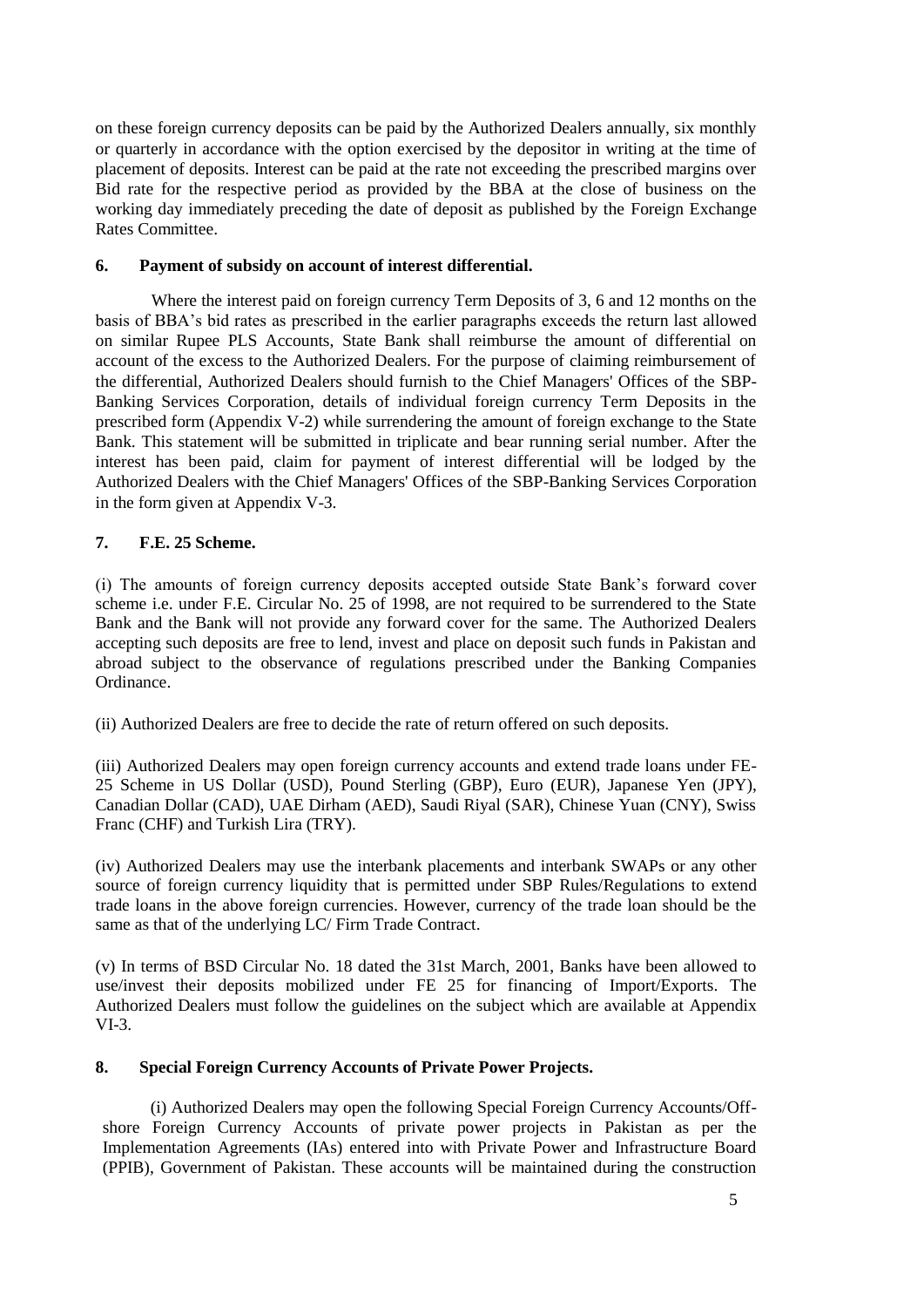on these foreign currency deposits can be paid by the Authorized Dealers annually, six monthly or quarterly in accordance with the option exercised by the depositor in writing at the time of placement of deposits. Interest can be paid at the rate not exceeding the prescribed margins over Bid rate for the respective period as provided by the BBA at the close of business on the working day immediately preceding the date of deposit as published by the Foreign Exchange Rates Committee.

# **6. Payment of subsidy on account of interest differential.**

Where the interest paid on foreign currency Term Deposits of 3, 6 and 12 months on the basis of BBA's bid rates as prescribed in the earlier paragraphs exceeds the return last allowed on similar Rupee PLS Accounts, State Bank shall reimburse the amount of differential on account of the excess to the Authorized Dealers. For the purpose of claiming reimbursement of the differential, Authorized Dealers should furnish to the Chief Managers' Offices of the SBP-Banking Services Corporation, details of individual foreign currency Term Deposits in the prescribed form (Appendix V-2) while surrendering the amount of foreign exchange to the State Bank. This statement will be submitted in triplicate and bear running serial number. After the interest has been paid, claim for payment of interest differential will be lodged by the Authorized Dealers with the Chief Managers' Offices of the SBP-Banking Services Corporation in the form given at Appendix V-3.

# **7. F.E. 25 Scheme.**

(i) The amounts of foreign currency deposits accepted outside State Bank's forward cover scheme i.e. under F.E. Circular No. 25 of 1998, are not required to be surrendered to the State Bank and the Bank will not provide any forward cover for the same. The Authorized Dealers accepting such deposits are free to lend, invest and place on deposit such funds in Pakistan and abroad subject to the observance of regulations prescribed under the Banking Companies Ordinance.

(ii) Authorized Dealers are free to decide the rate of return offered on such deposits.

(iii) Authorized Dealers may open foreign currency accounts and extend trade loans under FE-25 Scheme in US Dollar (USD), Pound Sterling (GBP), Euro (EUR), Japanese Yen (JPY), Canadian Dollar (CAD), UAE Dirham (AED), Saudi Riyal (SAR), Chinese Yuan (CNY), Swiss Franc (CHF) and Turkish Lira (TRY).

(iv) Authorized Dealers may use the interbank placements and interbank SWAPs or any other source of foreign currency liquidity that is permitted under SBP Rules/Regulations to extend trade loans in the above foreign currencies. However, currency of the trade loan should be the same as that of the underlying LC/ Firm Trade Contract.

(v) In terms of BSD Circular No. 18 dated the 31st March, 2001, Banks have been allowed to use/invest their deposits mobilized under FE 25 for financing of Import/Exports. The Authorized Dealers must follow the guidelines on the subject which are available at Appendix VI-3.

# **8. Special Foreign Currency Accounts of Private Power Projects.**

(i) Authorized Dealers may open the following Special Foreign Currency Accounts/Offshore Foreign Currency Accounts of private power projects in Pakistan as per the Implementation Agreements (IAs) entered into with Private Power and Infrastructure Board (PPIB), Government of Pakistan. These accounts will be maintained during the construction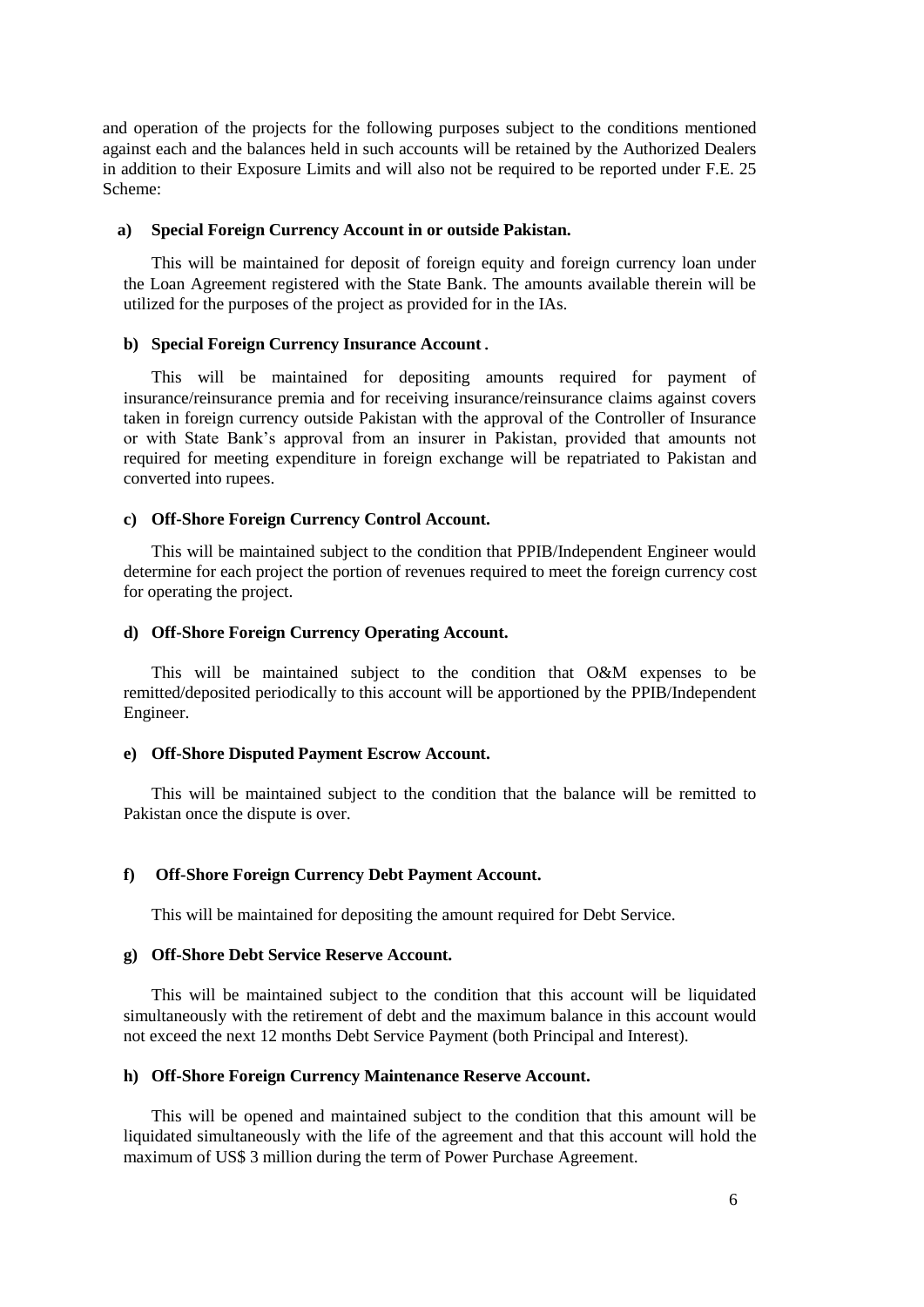and operation of the projects for the following purposes subject to the conditions mentioned against each and the balances held in such accounts will be retained by the Authorized Dealers in addition to their Exposure Limits and will also not be required to be reported under F.E. 25 Scheme:

#### **a) Special Foreign Currency Account in or outside Pakistan.**

This will be maintained for deposit of foreign equity and foreign currency loan under the Loan Agreement registered with the State Bank. The amounts available therein will be utilized for the purposes of the project as provided for in the IAs.

### **b) Special Foreign Currency Insurance Account.**

This will be maintained for depositing amounts required for payment of insurance/reinsurance premia and for receiving insurance/reinsurance claims against covers taken in foreign currency outside Pakistan with the approval of the Controller of Insurance or with State Bank's approval from an insurer in Pakistan, provided that amounts not required for meeting expenditure in foreign exchange will be repatriated to Pakistan and converted into rupees.

### **c) Off-Shore Foreign Currency Control Account.**

This will be maintained subject to the condition that PPIB/Independent Engineer would determine for each project the portion of revenues required to meet the foreign currency cost for operating the project.

### **d) Off-Shore Foreign Currency Operating Account.**

This will be maintained subject to the condition that O&M expenses to be remitted/deposited periodically to this account will be apportioned by the PPIB/Independent Engineer.

#### **e) Off-Shore Disputed Payment Escrow Account.**

This will be maintained subject to the condition that the balance will be remitted to Pakistan once the dispute is over.

#### **f) Off-Shore Foreign Currency Debt Payment Account.**

This will be maintained for depositing the amount required for Debt Service.

### **g) Off-Shore Debt Service Reserve Account.**

This will be maintained subject to the condition that this account will be liquidated simultaneously with the retirement of debt and the maximum balance in this account would not exceed the next 12 months Debt Service Payment (both Principal and Interest).

### **h) Off-Shore Foreign Currency Maintenance Reserve Account.**

This will be opened and maintained subject to the condition that this amount will be liquidated simultaneously with the life of the agreement and that this account will hold the maximum of US\$ 3 million during the term of Power Purchase Agreement.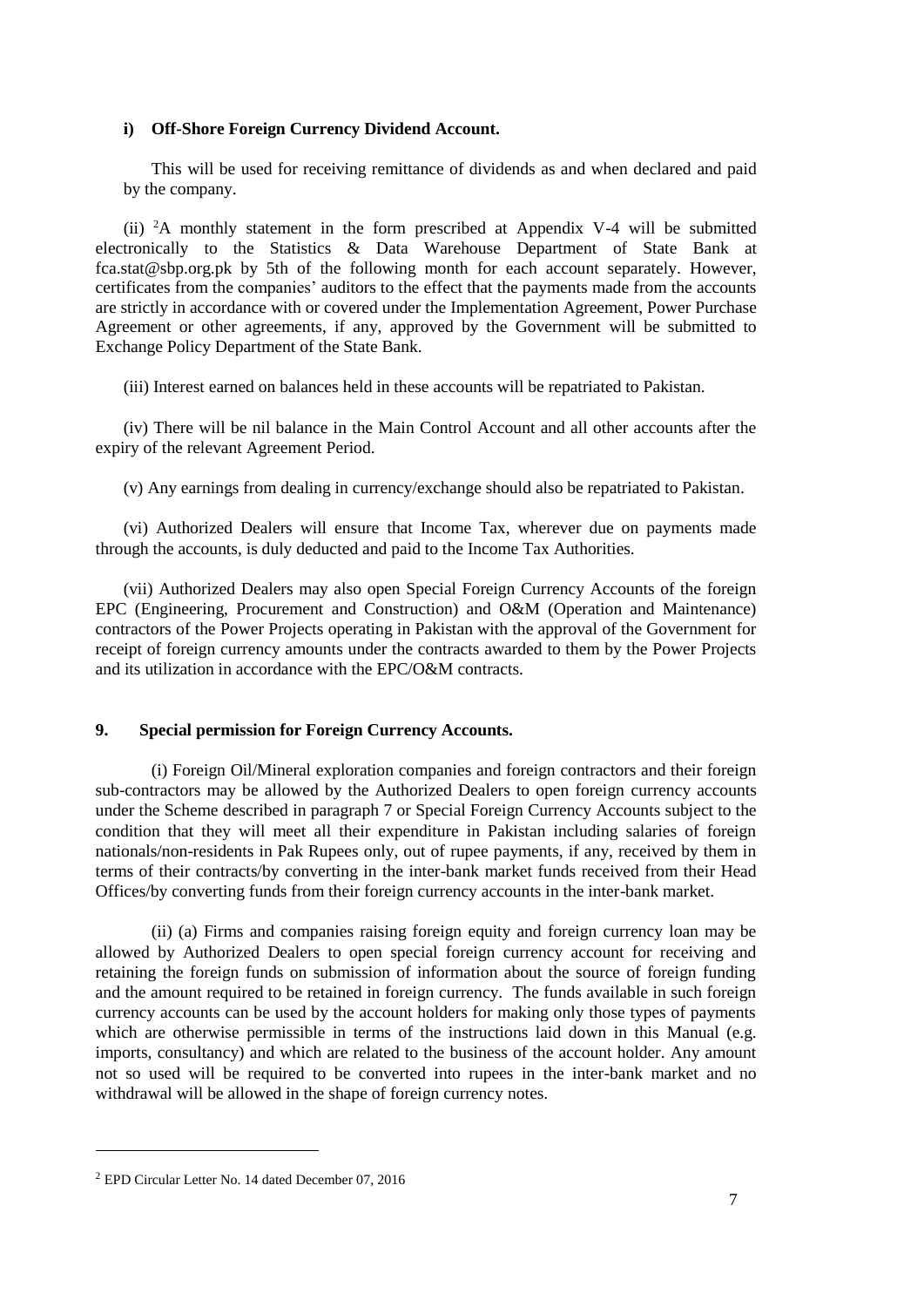# **i) Off-Shore Foreign Currency Dividend Account.**

This will be used for receiving remittance of dividends as and when declared and paid by the company.

(ii) <sup>2</sup>A monthly statement in the form prescribed at Appendix V-4 will be submitted electronically to the Statistics & Data Warehouse Department of State Bank at [fca.stat@sbp.org.pk](mailto:fca.stat@sbp.org.pk) by 5th of the following month for each account separately. However, certificates from the companies' auditors to the effect that the payments made from the accounts are strictly in accordance with or covered under the Implementation Agreement, Power Purchase Agreement or other agreements, if any, approved by the Government will be submitted to Exchange Policy Department of the State Bank.

(iii) Interest earned on balances held in these accounts will be repatriated to Pakistan.

(iv) There will be nil balance in the Main Control Account and all other accounts after the expiry of the relevant Agreement Period.

(v) Any earnings from dealing in currency/exchange should also be repatriated to Pakistan.

(vi) Authorized Dealers will ensure that Income Tax, wherever due on payments made through the accounts, is duly deducted and paid to the Income Tax Authorities.

(vii) Authorized Dealers may also open Special Foreign Currency Accounts of the foreign EPC (Engineering, Procurement and Construction) and O&M (Operation and Maintenance) contractors of the Power Projects operating in Pakistan with the approval of the Government for receipt of foreign currency amounts under the contracts awarded to them by the Power Projects and its utilization in accordance with the EPC/O&M contracts.

### **9. Special permission for Foreign Currency Accounts.**

(i) Foreign Oil/Mineral exploration companies and foreign contractors and their foreign sub-contractors may be allowed by the Authorized Dealers to open foreign currency accounts under the Scheme described in paragraph 7 or Special Foreign Currency Accounts subject to the condition that they will meet all their expenditure in Pakistan including salaries of foreign nationals/non-residents in Pak Rupees only, out of rupee payments, if any, received by them in terms of their contracts/by converting in the inter-bank market funds received from their Head Offices/by converting funds from their foreign currency accounts in the inter-bank market.

(ii) (a) Firms and companies raising foreign equity and foreign currency loan may be allowed by Authorized Dealers to open special foreign currency account for receiving and retaining the foreign funds on submission of information about the source of foreign funding and the amount required to be retained in foreign currency. The funds available in such foreign currency accounts can be used by the account holders for making only those types of payments which are otherwise permissible in terms of the instructions laid down in this Manual (e.g. imports, consultancy) and which are related to the business of the account holder. Any amount not so used will be required to be converted into rupees in the inter-bank market and no withdrawal will be allowed in the shape of foreign currency notes.

<sup>2</sup> EPD Circular Letter No. 14 dated December 07, 2016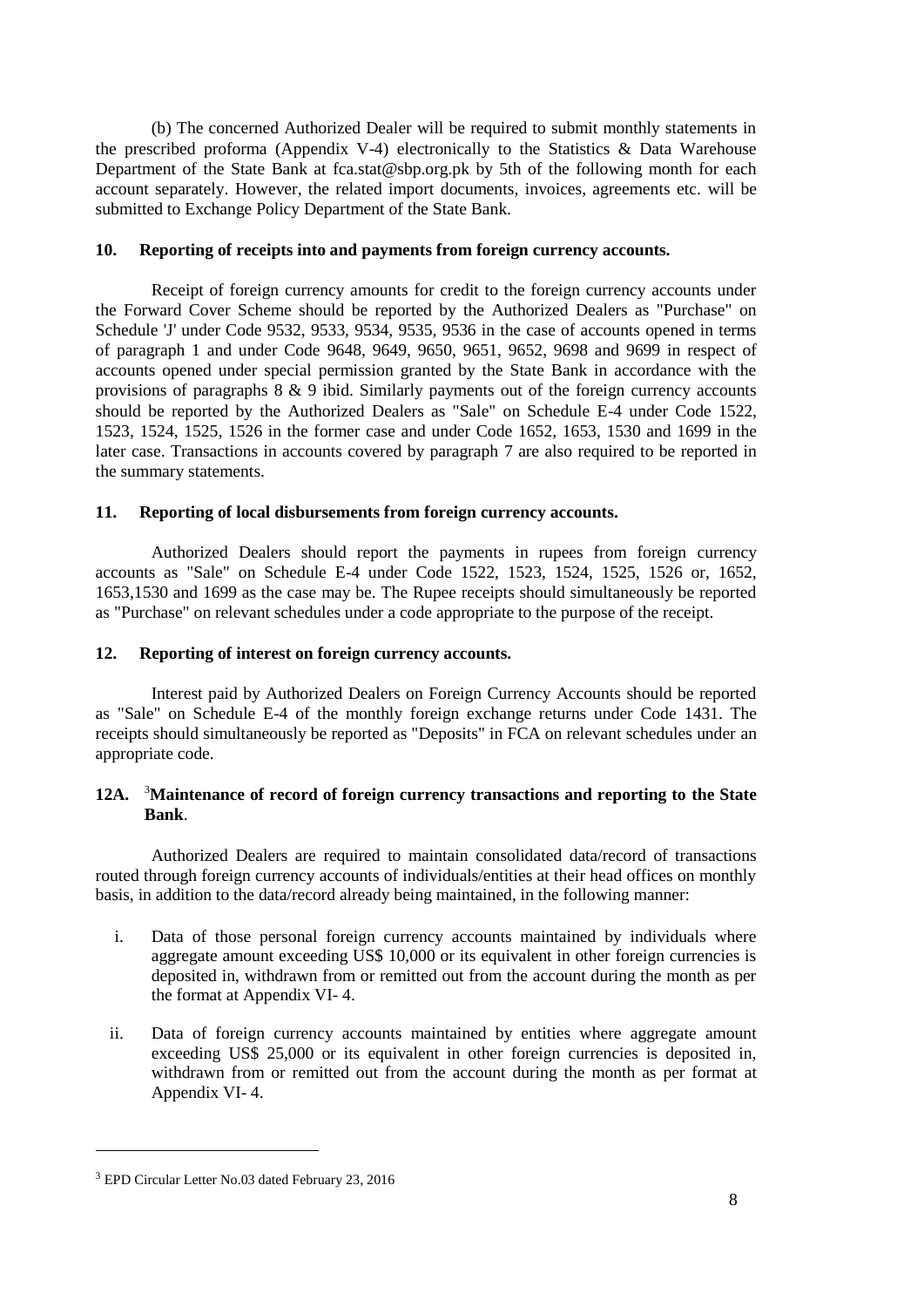(b) The concerned Authorized Dealer will be required to submit monthly statements in the prescribed proforma (Appendix V-4) electronically to the Statistics & Data Warehouse Department of the State Bank at [fca.stat@sbp.org.pk](mailto:fca.stat@sbp.org.pk) by 5th of the following month for each account separately. However, the related import documents, invoices, agreements etc. will be submitted to Exchange Policy Department of the State Bank.

# **10. Reporting of receipts into and payments from foreign currency accounts.**

Receipt of foreign currency amounts for credit to the foreign currency accounts under the Forward Cover Scheme should be reported by the Authorized Dealers as "Purchase" on Schedule 'J' under Code 9532, 9533, 9534, 9535, 9536 in the case of accounts opened in terms of paragraph 1 and under Code 9648, 9649, 9650, 9651, 9652, 9698 and 9699 in respect of accounts opened under special permission granted by the State Bank in accordance with the provisions of paragraphs 8 & 9 ibid. Similarly payments out of the foreign currency accounts should be reported by the Authorized Dealers as "Sale" on Schedule E-4 under Code 1522, 1523, 1524, 1525, 1526 in the former case and under Code 1652, 1653, 1530 and 1699 in the later case. Transactions in accounts covered by paragraph 7 are also required to be reported in the summary statements.

# **11. Reporting of local disbursements from foreign currency accounts.**

Authorized Dealers should report the payments in rupees from foreign currency accounts as "Sale" on Schedule E-4 under Code 1522, 1523, 1524, 1525, 1526 or, 1652, 1653,1530 and 1699 as the case may be. The Rupee receipts should simultaneously be reported as "Purchase" on relevant schedules under a code appropriate to the purpose of the receipt.

# **12. Reporting of interest on foreign currency accounts.**

Interest paid by Authorized Dealers on Foreign Currency Accounts should be reported as "Sale" on Schedule E-4 of the monthly foreign exchange returns under Code 1431. The receipts should simultaneously be reported as "Deposits" in FCA on relevant schedules under an appropriate code.

# **12A.** <sup>3</sup>**Maintenance of record of foreign currency transactions and reporting to the State Bank**.

Authorized Dealers are required to maintain consolidated data/record of transactions routed through foreign currency accounts of individuals/entities at their head offices on monthly basis, in addition to the data/record already being maintained, in the following manner:

- i. Data of those personal foreign currency accounts maintained by individuals where aggregate amount exceeding US\$ 10,000 or its equivalent in other foreign currencies is deposited in, withdrawn from or remitted out from the account during the month as per the format at [Appendix VI-](http://www.sbp.org.pk/epd/2016/FECL3_Annex.pdf) 4.
- ii. Data of foreign currency accounts maintained by entities where aggregate amount exceeding US\$ 25,000 or its equivalent in other foreign currencies is deposited in, withdrawn from or remitted out from the account during the month as per format at [Appendix VI-](http://www.sbp.org.pk/epd/2016/FECL3_Annex.pdf) 4.

<sup>3</sup> EPD Circular Letter No.03 dated February 23, 2016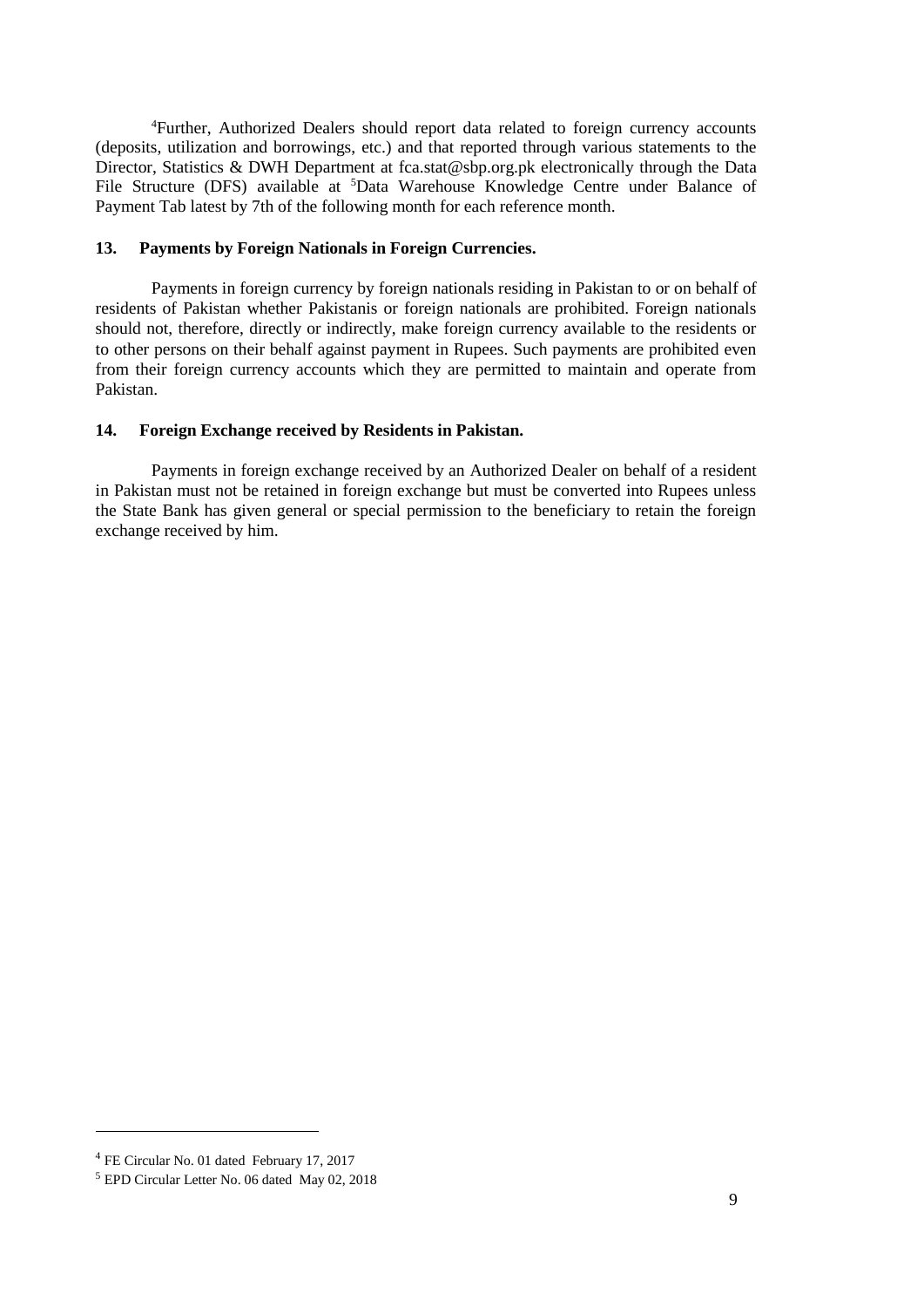<sup>4</sup>Further, Authorized Dealers should report data related to foreign currency accounts (deposits, utilization and borrowings, etc.) and that reported through various statements to the Director, Statistics & DWH Department at [fca.stat@sbp.org.pk](mailto:fca.stat@sbp.org.pk) electronically through the Data File Structure (DFS) available at <sup>5</sup>Data Warehouse Knowledge Centre under Balance of Payment Tab latest by 7th of the following month for each reference month.

# **13. Payments by Foreign Nationals in Foreign Currencies.**

Payments in foreign currency by foreign nationals residing in Pakistan to or on behalf of residents of Pakistan whether Pakistanis or foreign nationals are prohibited. Foreign nationals should not, therefore, directly or indirectly, make foreign currency available to the residents or to other persons on their behalf against payment in Rupees. Such payments are prohibited even from their foreign currency accounts which they are permitted to maintain and operate from Pakistan.

### **14. Foreign Exchange received by Residents in Pakistan.**

Payments in foreign exchange received by an Authorized Dealer on behalf of a resident in Pakistan must not be retained in foreign exchange but must be converted into Rupees unless the State Bank has given general or special permission to the beneficiary to retain the foreign exchange received by him.

<sup>4</sup> FE Circular No. 01 dated February 17, 2017

<sup>5</sup> EPD Circular Letter No. 06 dated May 02, 2018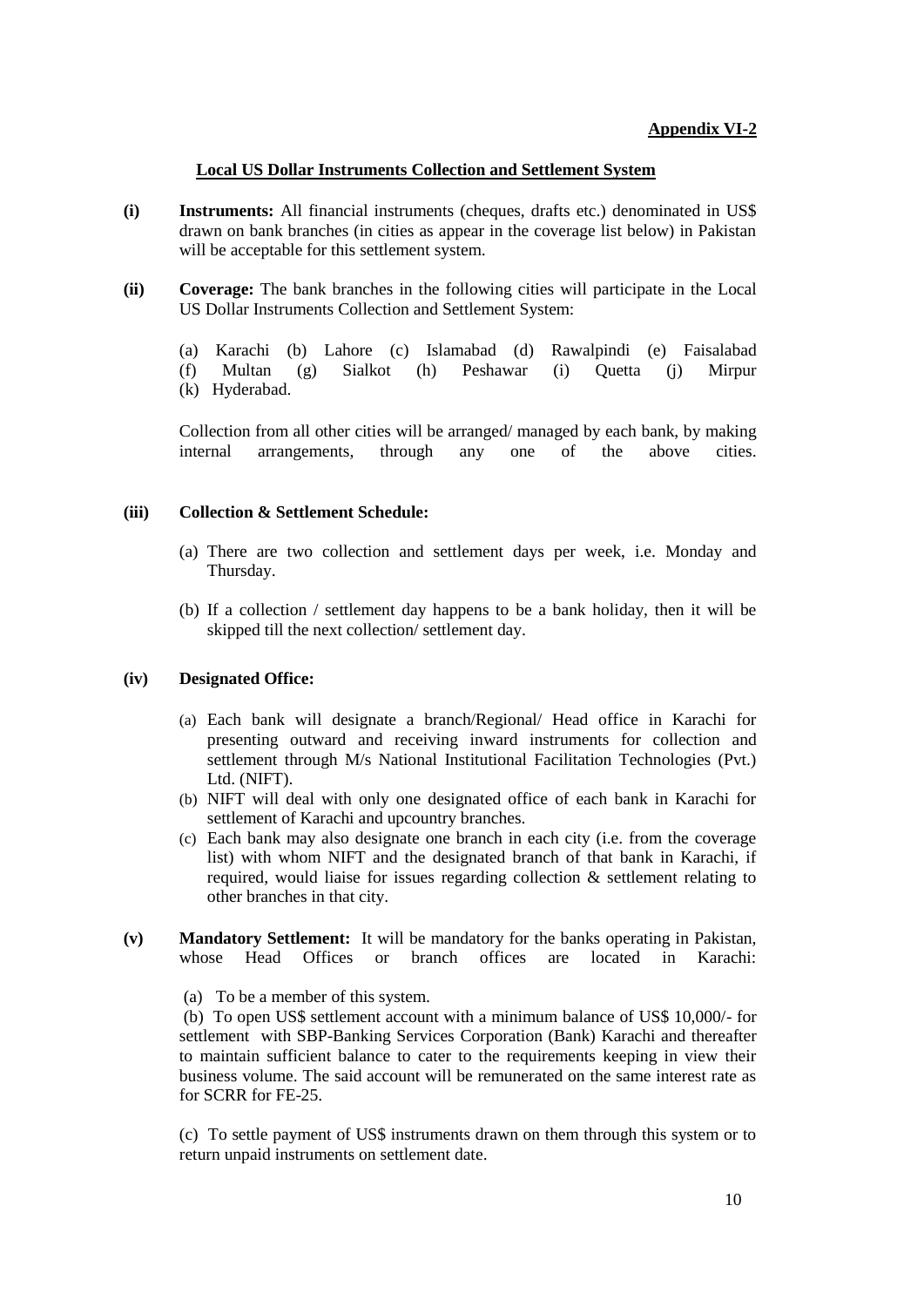# **Local US Dollar Instruments Collection and Settlement System**

- **(i) Instruments:** All financial instruments (cheques, drafts etc.) denominated in US\$ drawn on bank branches (in cities as appear in the coverage list below) in Pakistan will be acceptable for this settlement system.
- **(ii) Coverage:** The bank branches in the following cities will participate in the Local US Dollar Instruments Collection and Settlement System:
	- (a) Karachi (b) Lahore (c) Islamabad (d) Rawalpindi (e) Faisalabad (f) Multan (g) Sialkot (h) Peshawar (i) Quetta (j) Mirpur (k) Hyderabad.

Collection from all other cities will be arranged/ managed by each bank, by making internal arrangements, through any one of the above cities. arrangements, through any one of the above cities.

# **(iii) Collection & Settlement Schedule:**

- (a) There are two collection and settlement days per week, i.e. Monday and Thursday.
- (b) If a collection / settlement day happens to be a bank holiday, then it will be skipped till the next collection/ settlement day.

# **(iv) Designated Office:**

- (a) Each bank will designate a branch/Regional/ Head office in Karachi for presenting outward and receiving inward instruments for collection and settlement through M/s National Institutional Facilitation Technologies (Pvt.) Ltd. (NIFT).
- (b) NIFT will deal with only one designated office of each bank in Karachi for settlement of Karachi and upcountry branches.
- (c) Each bank may also designate one branch in each city (i.e. from the coverage list) with whom NIFT and the designated branch of that bank in Karachi, if required, would liaise for issues regarding collection & settlement relating to other branches in that city.
- **(v) Mandatory Settlement:** It will be mandatory for the banks operating in Pakistan, whose Head Offices or branch offices are located in Karachi:
	- (a) To be a member of this system.

(b) To open US\$ settlement account with a minimum balance of US\$ 10,000/- for settlement with SBP-Banking Services Corporation (Bank) Karachi and thereafter to maintain sufficient balance to cater to the requirements keeping in view their business volume. The said account will be remunerated on the same interest rate as for SCRR for FE-25.

(c) To settle payment of US\$ instruments drawn on them through this system or to return unpaid instruments on settlement date.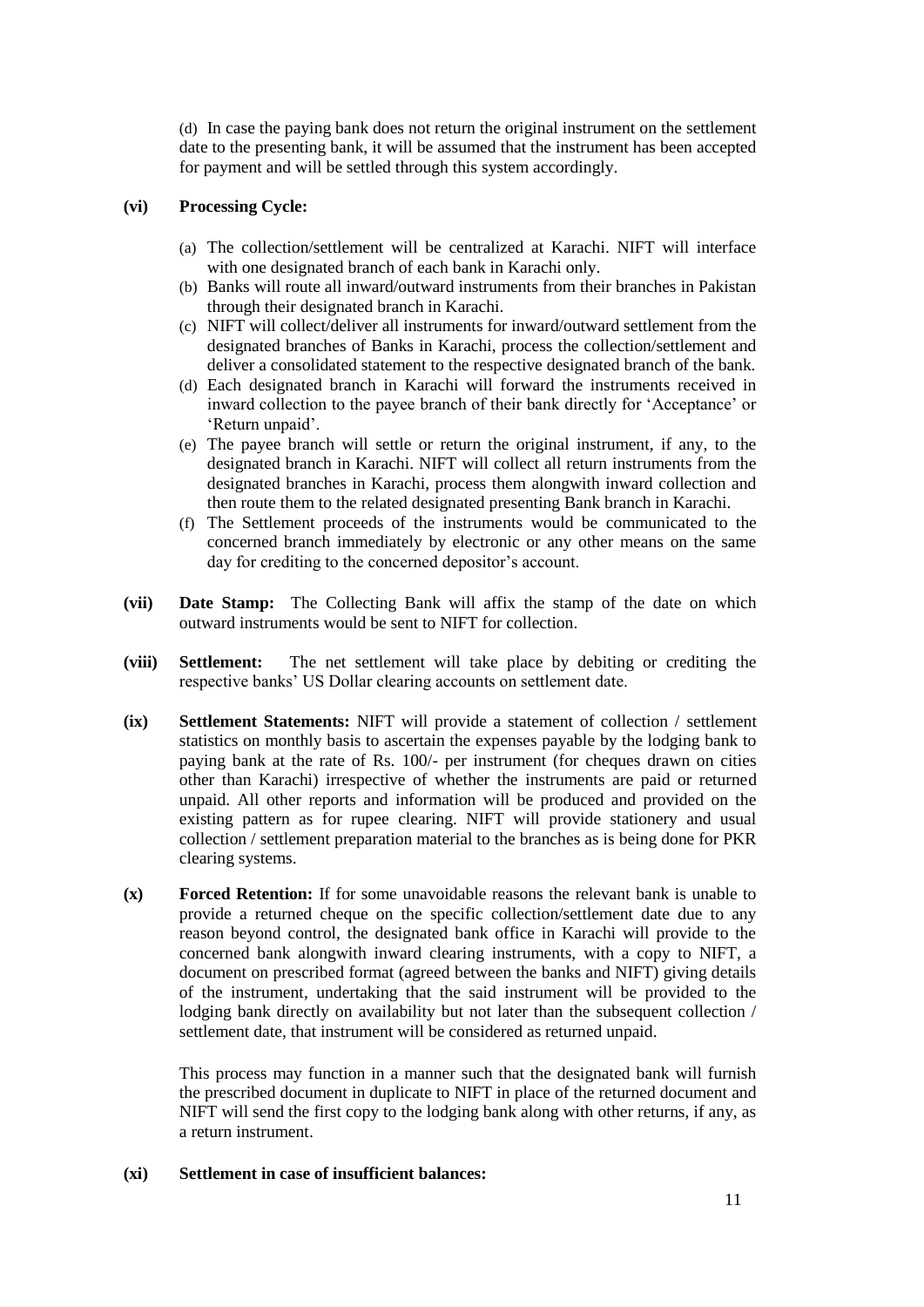(d) In case the paying bank does not return the original instrument on the settlement date to the presenting bank, it will be assumed that the instrument has been accepted for payment and will be settled through this system accordingly.

# **(vi) Processing Cycle:**

- (a) The collection/settlement will be centralized at Karachi. NIFT will interface with one designated branch of each bank in Karachi only.
- (b) Banks will route all inward/outward instruments from their branches in Pakistan through their designated branch in Karachi.
- (c) NIFT will collect/deliver all instruments for inward/outward settlement from the designated branches of Banks in Karachi, process the collection/settlement and deliver a consolidated statement to the respective designated branch of the bank.
- (d) Each designated branch in Karachi will forward the instruments received in inward collection to the payee branch of their bank directly for 'Acceptance' or 'Return unpaid'.
- (e) The payee branch will settle or return the original instrument, if any, to the designated branch in Karachi. NIFT will collect all return instruments from the designated branches in Karachi, process them alongwith inward collection and then route them to the related designated presenting Bank branch in Karachi.
- (f) The Settlement proceeds of the instruments would be communicated to the concerned branch immediately by electronic or any other means on the same day for crediting to the concerned depositor's account.
- **(vii) Date Stamp:** The Collecting Bank will affix the stamp of the date on which outward instruments would be sent to NIFT for collection.
- **(viii) Settlement:** The net settlement will take place by debiting or crediting the respective banks' US Dollar clearing accounts on settlement date.
- **(ix) Settlement Statements:** NIFT will provide a statement of collection / settlement statistics on monthly basis to ascertain the expenses payable by the lodging bank to paying bank at the rate of Rs. 100/- per instrument (for cheques drawn on cities other than Karachi) irrespective of whether the instruments are paid or returned unpaid. All other reports and information will be produced and provided on the existing pattern as for rupee clearing. NIFT will provide stationery and usual collection / settlement preparation material to the branches as is being done for PKR clearing systems.
- **(x) Forced Retention:** If for some unavoidable reasons the relevant bank is unable to provide a returned cheque on the specific collection/settlement date due to any reason beyond control, the designated bank office in Karachi will provide to the concerned bank alongwith inward clearing instruments, with a copy to NIFT, a document on prescribed format (agreed between the banks and NIFT) giving details of the instrument, undertaking that the said instrument will be provided to the lodging bank directly on availability but not later than the subsequent collection / settlement date, that instrument will be considered as returned unpaid.

This process may function in a manner such that the designated bank will furnish the prescribed document in duplicate to NIFT in place of the returned document and NIFT will send the first copy to the lodging bank along with other returns, if any, as a return instrument.

# **(xi) Settlement in case of insufficient balances:**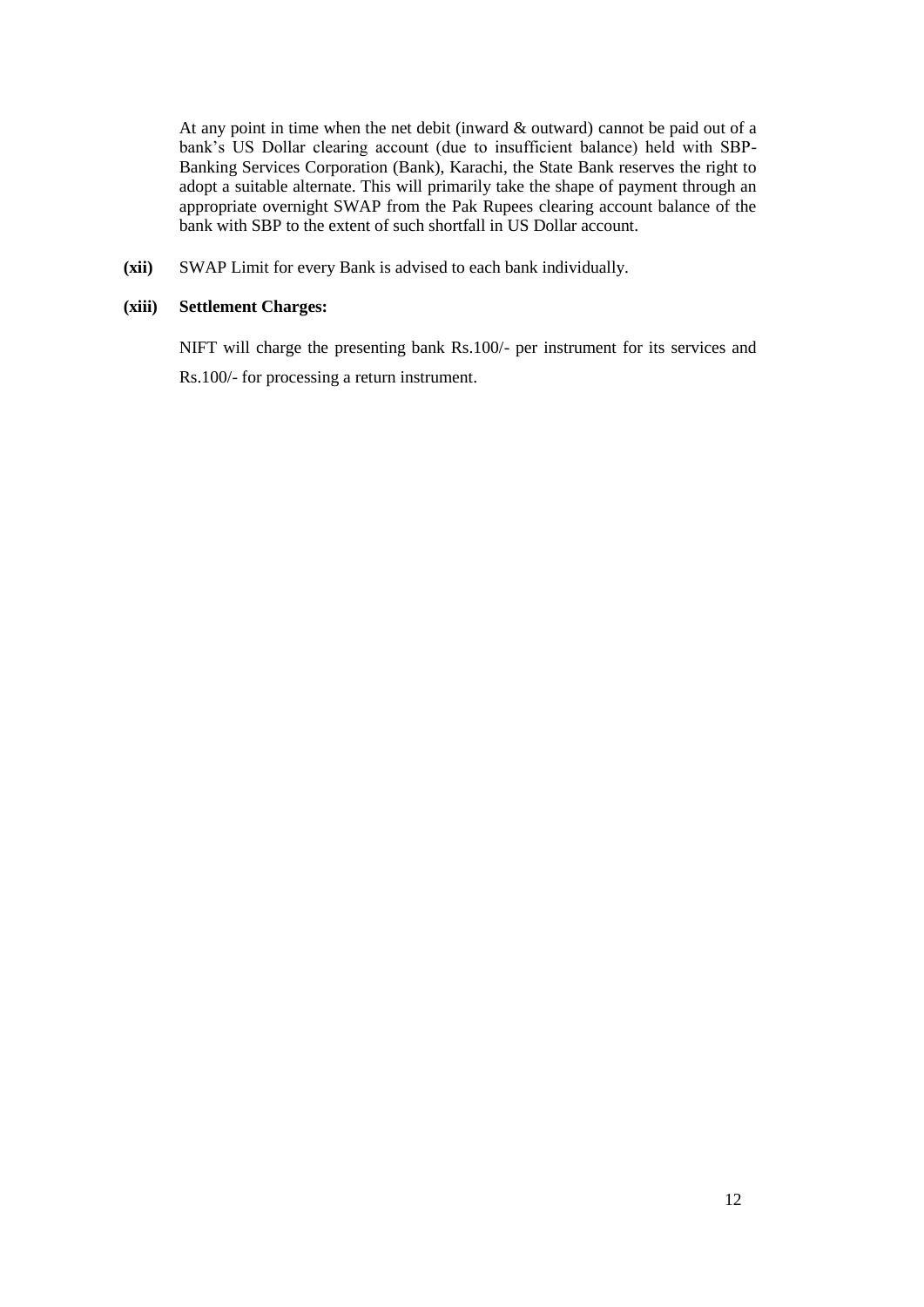At any point in time when the net debit (inward & outward) cannot be paid out of a bank's US Dollar clearing account (due to insufficient balance) held with SBP-Banking Services Corporation (Bank), Karachi, the State Bank reserves the right to adopt a suitable alternate. This will primarily take the shape of payment through an appropriate overnight SWAP from the Pak Rupees clearing account balance of the bank with SBP to the extent of such shortfall in US Dollar account.

**(xii)** SWAP Limit for every Bank is advised to each bank individually.

# **(xiii) Settlement Charges:**

NIFT will charge the presenting bank Rs.100/- per instrument for its services and Rs.100/- for processing a return instrument.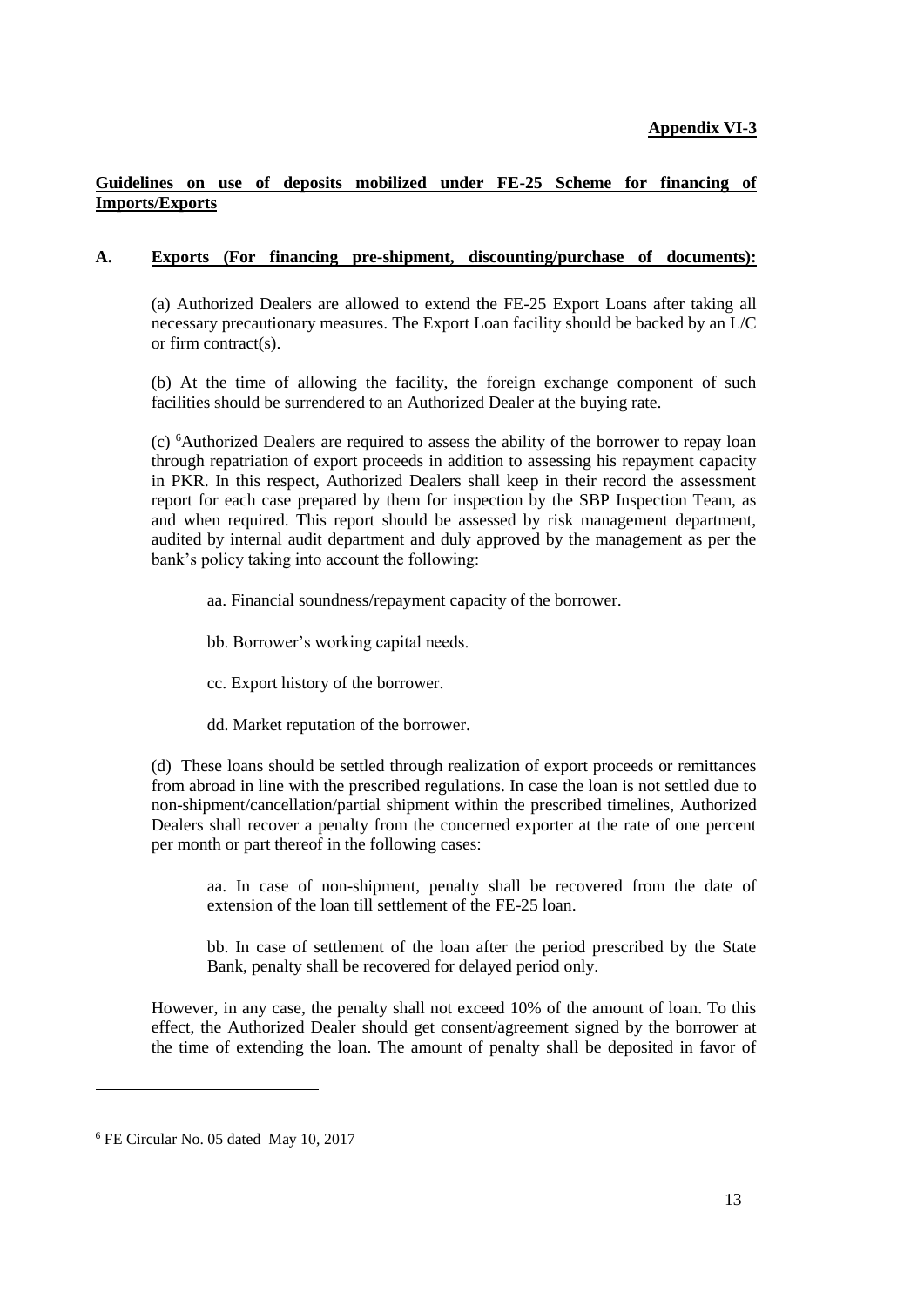# **Guidelines on use of deposits mobilized under FE-25 Scheme for financing of Imports/Exports**

# **A. Exports (For financing pre-shipment, discounting/purchase of documents):**

(a) Authorized Dealers are allowed to extend the FE-25 Export Loans after taking all necessary precautionary measures. The Export Loan facility should be backed by an L/C or firm contract(s).

(b) At the time of allowing the facility, the foreign exchange component of such facilities should be surrendered to an Authorized Dealer at the buying rate.

(c) <sup>6</sup>Authorized Dealers are required to assess the ability of the borrower to repay loan through repatriation of export proceeds in addition to assessing his repayment capacity in PKR. In this respect, Authorized Dealers shall keep in their record the assessment report for each case prepared by them for inspection by the SBP Inspection Team, as and when required. This report should be assessed by risk management department, audited by internal audit department and duly approved by the management as per the bank's policy taking into account the following:

- aa. Financial soundness/repayment capacity of the borrower.
- bb. Borrower's working capital needs.
- cc. Export history of the borrower.
- dd. Market reputation of the borrower.

(d) These loans should be settled through realization of export proceeds or remittances from abroad in line with the prescribed regulations. In case the loan is not settled due to non-shipment/cancellation/partial shipment within the prescribed timelines, Authorized Dealers shall recover a penalty from the concerned exporter at the rate of one percent per month or part thereof in the following cases:

aa. In case of non-shipment, penalty shall be recovered from the date of extension of the loan till settlement of the FE-25 loan.

bb. In case of settlement of the loan after the period prescribed by the State Bank, penalty shall be recovered for delayed period only.

However, in any case, the penalty shall not exceed 10% of the amount of loan. To this effect, the Authorized Dealer should get consent/agreement signed by the borrower at the time of extending the loan. The amount of penalty shall be deposited in favor of

<sup>6</sup> FE Circular No. 05 dated May 10, 2017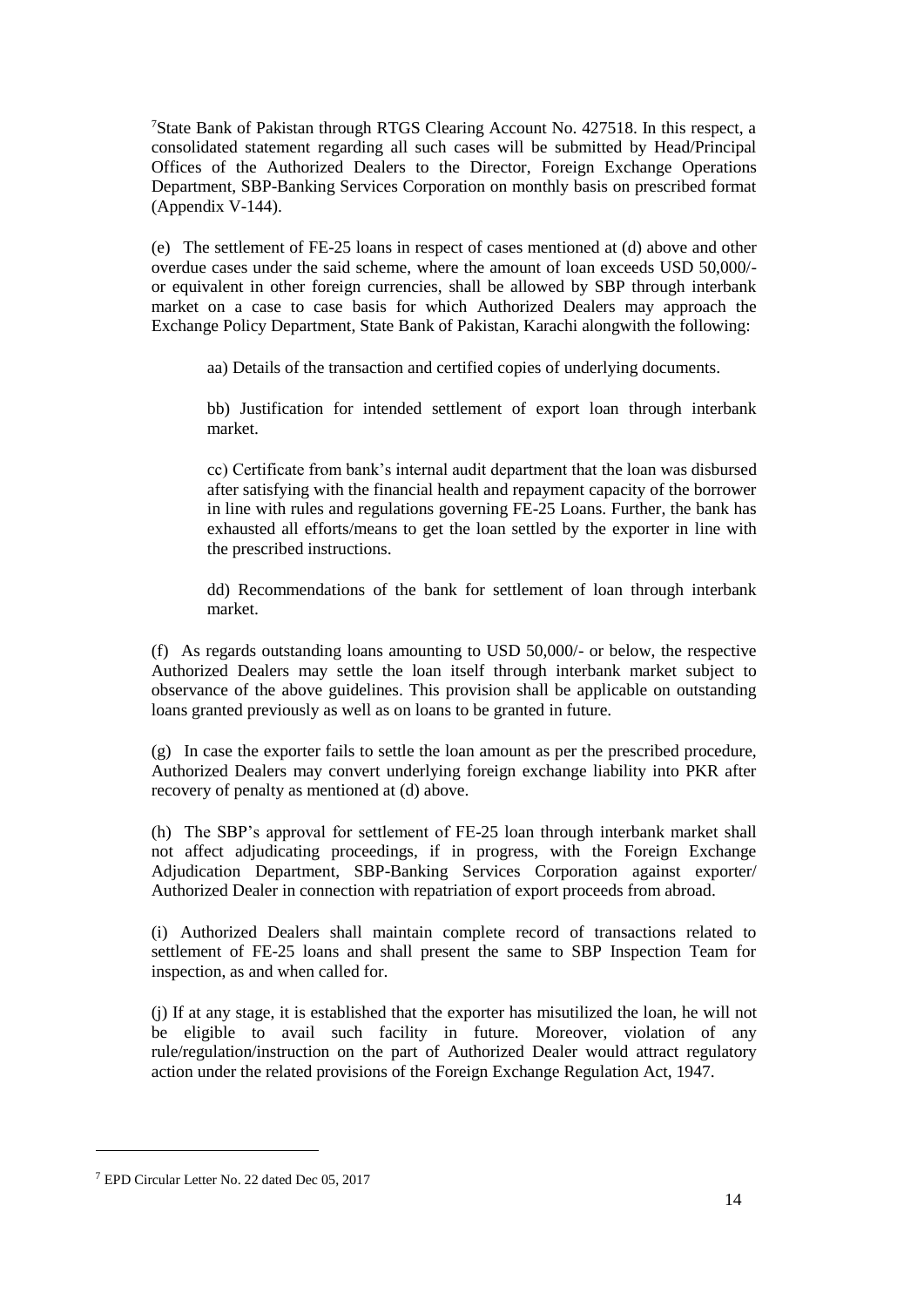<sup>7</sup>State Bank of Pakistan through RTGS Clearing Account No. 427518. In this respect, a consolidated statement regarding all such cases will be submitted by Head/Principal Offices of the Authorized Dealers to the Director, Foreign Exchange Operations Department, SBP-Banking Services Corporation on monthly basis on prescribed format (Appendix V-144).

(e) The settlement of FE-25 loans in respect of cases mentioned at (d) above and other overdue cases under the said scheme, where the amount of loan exceeds USD 50,000/ or equivalent in other foreign currencies, shall be allowed by SBP through interbank market on a case to case basis for which Authorized Dealers may approach the Exchange Policy Department, State Bank of Pakistan, Karachi alongwith the following:

aa) Details of the transaction and certified copies of underlying documents.

bb) Justification for intended settlement of export loan through interbank market.

cc) Certificate from bank's internal audit department that the loan was disbursed after satisfying with the financial health and repayment capacity of the borrower in line with rules and regulations governing FE-25 Loans. Further, the bank has exhausted all efforts/means to get the loan settled by the exporter in line with the prescribed instructions.

dd) Recommendations of the bank for settlement of loan through interbank market.

(f) As regards outstanding loans amounting to USD 50,000/- or below, the respective Authorized Dealers may settle the loan itself through interbank market subject to observance of the above guidelines. This provision shall be applicable on outstanding loans granted previously as well as on loans to be granted in future.

(g) In case the exporter fails to settle the loan amount as per the prescribed procedure, Authorized Dealers may convert underlying foreign exchange liability into PKR after recovery of penalty as mentioned at (d) above.

(h) The SBP's approval for settlement of FE-25 loan through interbank market shall not affect adjudicating proceedings, if in progress, with the Foreign Exchange Adjudication Department, SBP-Banking Services Corporation against exporter/ Authorized Dealer in connection with repatriation of export proceeds from abroad.

(i) Authorized Dealers shall maintain complete record of transactions related to settlement of FE-25 loans and shall present the same to SBP Inspection Team for inspection, as and when called for.

(j) If at any stage, it is established that the exporter has misutilized the loan, he will not be eligible to avail such facility in future. Moreover, violation of any rule/regulation/instruction on the part of Authorized Dealer would attract regulatory action under the related provisions of the Foreign Exchange Regulation Act, 1947.

<sup>&</sup>lt;sup>7</sup> EPD Circular Letter No. 22 dated Dec 05, 2017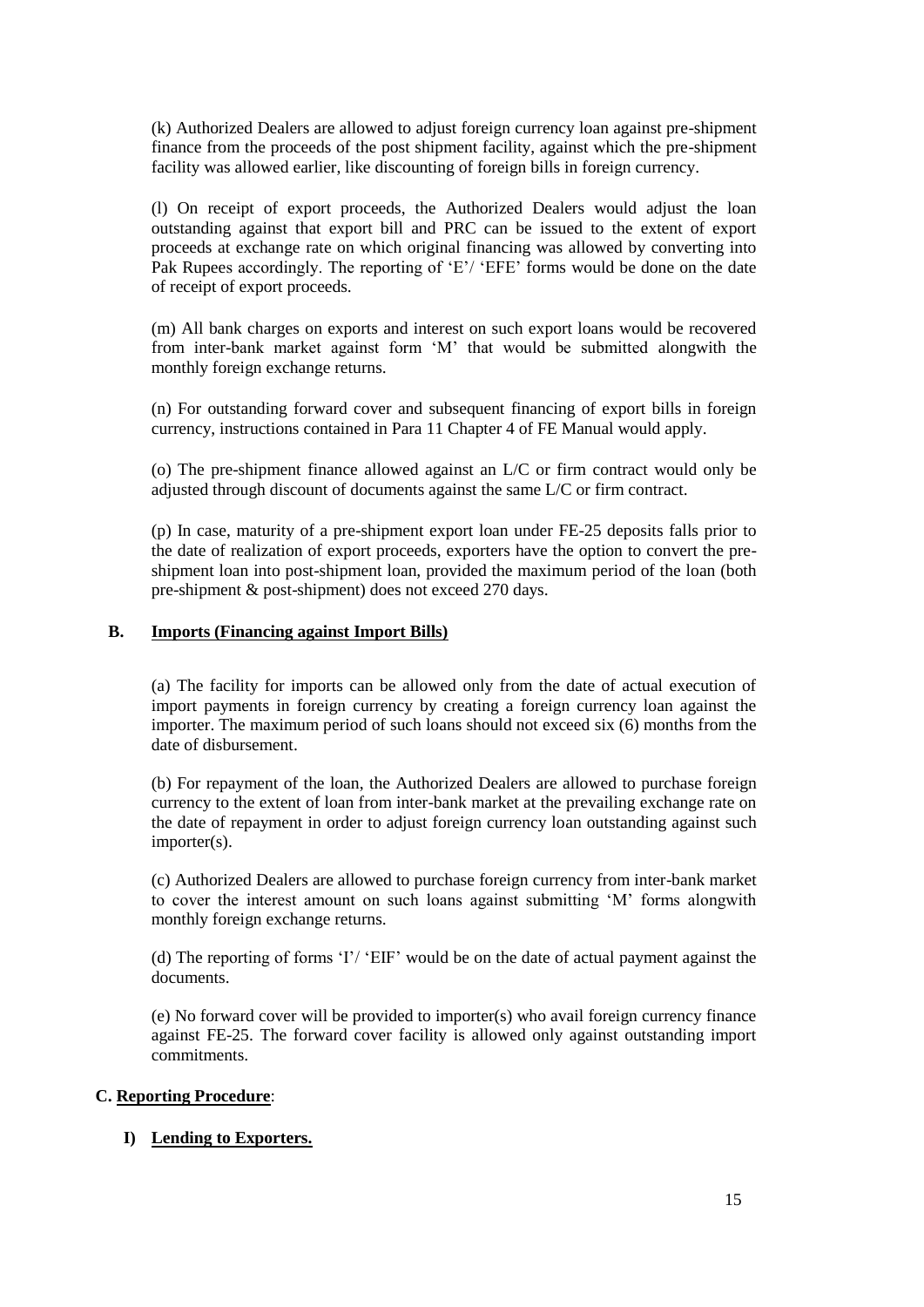(k) Authorized Dealers are allowed to adjust foreign currency loan against pre-shipment finance from the proceeds of the post shipment facility, against which the pre-shipment facility was allowed earlier, like discounting of foreign bills in foreign currency.

(l) On receipt of export proceeds, the Authorized Dealers would adjust the loan outstanding against that export bill and PRC can be issued to the extent of export proceeds at exchange rate on which original financing was allowed by converting into Pak Rupees accordingly. The reporting of 'E'/ 'EFE' forms would be done on the date of receipt of export proceeds.

(m) All bank charges on exports and interest on such export loans would be recovered from inter-bank market against form 'M' that would be submitted alongwith the monthly foreign exchange returns.

(n) For outstanding forward cover and subsequent financing of export bills in foreign currency, instructions contained in Para 11 Chapter 4 of FE Manual would apply.

(o) The pre-shipment finance allowed against an L/C or firm contract would only be adjusted through discount of documents against the same L/C or firm contract.

(p) In case, maturity of a pre-shipment export loan under FE-25 deposits falls prior to the date of realization of export proceeds, exporters have the option to convert the preshipment loan into post-shipment loan, provided the maximum period of the loan (both pre-shipment & post-shipment) does not exceed 270 days.

# **B. Imports (Financing against Import Bills)**

(a) The facility for imports can be allowed only from the date of actual execution of import payments in foreign currency by creating a foreign currency loan against the importer. The maximum period of such loans should not exceed six (6) months from the date of disbursement.

(b) For repayment of the loan, the Authorized Dealers are allowed to purchase foreign currency to the extent of loan from inter-bank market at the prevailing exchange rate on the date of repayment in order to adjust foreign currency loan outstanding against such importer(s).

(c) Authorized Dealers are allowed to purchase foreign currency from inter-bank market to cover the interest amount on such loans against submitting 'M' forms alongwith monthly foreign exchange returns.

(d) The reporting of forms 'I'/ 'EIF' would be on the date of actual payment against the documents.

(e) No forward cover will be provided to importer(s) who avail foreign currency finance against FE-25. The forward cover facility is allowed only against outstanding import commitments.

# **C. Reporting Procedure**:

# **I) Lending to Exporters.**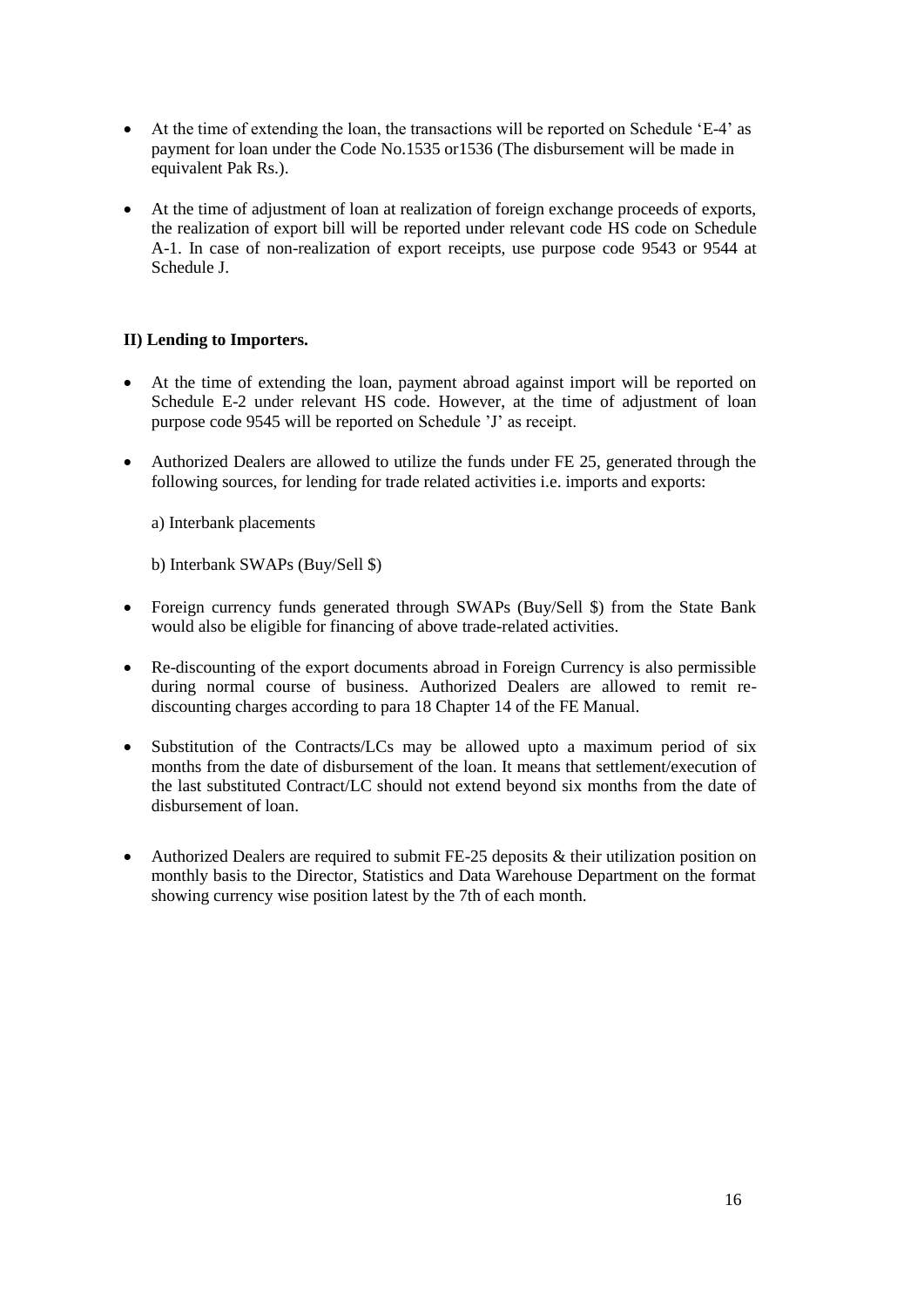- At the time of extending the loan, the transactions will be reported on Schedule 'E-4' as payment for loan under the Code No.1535 or1536 (The disbursement will be made in equivalent Pak Rs.).
- At the time of adjustment of loan at realization of foreign exchange proceeds of exports, the realization of export bill will be reported under relevant code HS code on Schedule A-1. In case of non-realization of export receipts, use purpose code 9543 or 9544 at Schedule J.

# **II) Lending to Importers.**

- At the time of extending the loan, payment abroad against import will be reported on Schedule E-2 under relevant HS code. However, at the time of adjustment of loan purpose code 9545 will be reported on Schedule 'J' as receipt.
- Authorized Dealers are allowed to utilize the funds under FE 25, generated through the following sources, for lending for trade related activities i.e. imports and exports:

a) Interbank placements

b) Interbank SWAPs (Buy/Sell \$)

- Foreign currency funds generated through SWAPs (Buy/Sell \$) from the State Bank would also be eligible for financing of above trade-related activities.
- Re-discounting of the export documents abroad in Foreign Currency is also permissible during normal course of business. Authorized Dealers are allowed to remit rediscounting charges according to para 18 Chapter 14 of the FE Manual.
- Substitution of the Contracts/LCs may be allowed upto a maximum period of six months from the date of disbursement of the loan. It means that settlement/execution of the last substituted Contract/LC should not extend beyond six months from the date of disbursement of loan.
- Authorized Dealers are required to submit FE-25 deposits & their utilization position on monthly basis to the Director, Statistics and Data Warehouse Department on the format showing currency wise position latest by the 7th of each month.